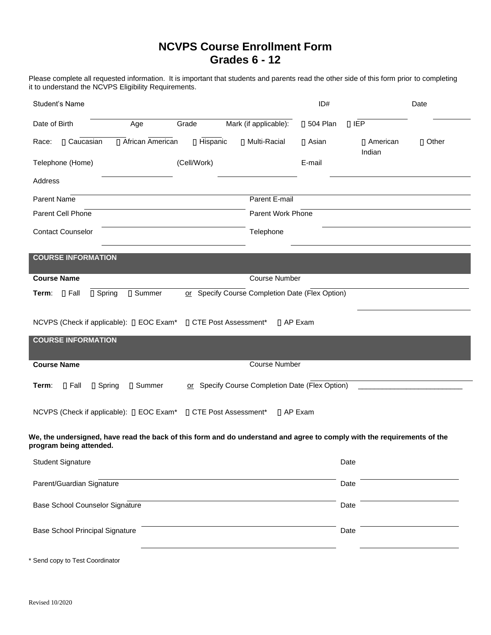# **NCVPS Course Enrollment Form Grades 6 - 12**

Please complete all requested information. It is important that students and parents read the other side of this form prior to completing it to understand the NCVPS Eligibility Requirements.

| Student's Name                                                                                                                                     |             |                                                 | ID#               |                             | Date         |
|----------------------------------------------------------------------------------------------------------------------------------------------------|-------------|-------------------------------------------------|-------------------|-----------------------------|--------------|
| Date of Birth<br>Age                                                                                                                               | Grade       | Mark (if applicable):                           | <b>∏ 504 Plan</b> | $\Box$ IEP                  |              |
| □ African American<br>□ Caucasian<br>Race:                                                                                                         | □ Hispanic  | □ Multi-Racial                                  | □ Asian           | <b>∏</b> American<br>Indian | $\Box$ Other |
| Telephone (Home)                                                                                                                                   | (Cell/Work) |                                                 | E-mail            |                             |              |
| Address                                                                                                                                            |             |                                                 |                   |                             |              |
| Parent Name                                                                                                                                        |             | Parent E-mail                                   |                   |                             |              |
| Parent Cell Phone                                                                                                                                  |             | Parent Work Phone                               |                   |                             |              |
| <b>Contact Counselor</b>                                                                                                                           |             | Telephone                                       |                   |                             |              |
| <b>COURSE INFORMATION</b>                                                                                                                          |             |                                                 |                   |                             |              |
| <b>Course Name</b>                                                                                                                                 |             | <b>Course Number</b>                            |                   |                             |              |
| □ Spring<br>□ Summer<br>$\Box$ Fall<br>Term:                                                                                                       |             | or Specify Course Completion Date (Flex Option) |                   |                             |              |
|                                                                                                                                                    |             |                                                 |                   |                             |              |
| NCVPS (Check if applicable): [] EOC Exam*                                                                                                          |             | ∏ CTE Post Assessment*                          | $\prod$ AP Exam   |                             |              |
| <b>COURSE INFORMATION</b>                                                                                                                          |             |                                                 |                   |                             |              |
| <b>Course Name</b>                                                                                                                                 |             | <b>Course Number</b>                            |                   |                             |              |
|                                                                                                                                                    |             |                                                 |                   |                             |              |
| $\Box$ Fall<br>□ Spring<br>□ Summer<br>Term:                                                                                                       |             | or Specify Course Completion Date (Flex Option) |                   |                             |              |
| NCVPS (Check if applicable): [] EOC Exam*                                                                                                          |             | □ CTE Post Assessment*                          | □ AP Exam         |                             |              |
| We, the undersigned, have read the back of this form and do understand and agree to comply with the requirements of the<br>program being attended. |             |                                                 |                   |                             |              |
| <b>Student Signature</b>                                                                                                                           |             |                                                 |                   | Date                        |              |
| Parent/Guardian Signature                                                                                                                          |             |                                                 |                   | Date                        |              |
| <b>Base School Counselor Signature</b>                                                                                                             |             |                                                 |                   | Date                        |              |
| <b>Base School Principal Signature</b>                                                                                                             |             |                                                 |                   | Date                        |              |
| Send copy to Test Coordinator                                                                                                                      |             |                                                 |                   |                             |              |